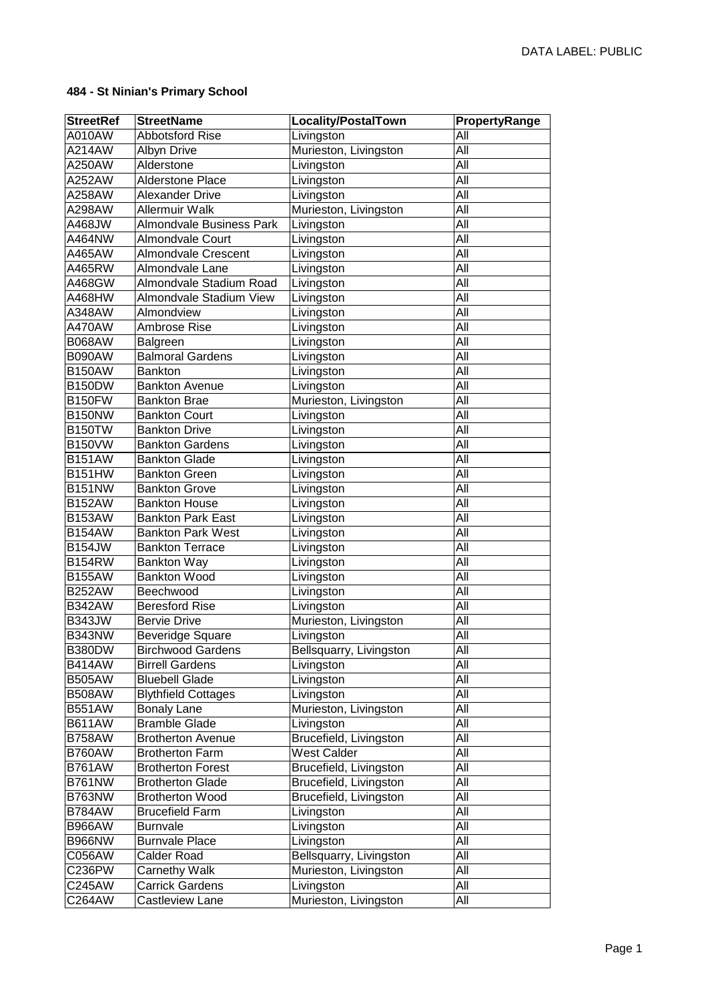| <b>StreetRef</b> | <b>StreetName</b>               | Locality/PostalTown     | PropertyRange |
|------------------|---------------------------------|-------------------------|---------------|
| A010AW           | <b>Abbotsford Rise</b>          | Livingston              | All           |
| A214AW           | <b>Albyn Drive</b>              | Murieston, Livingston   | All           |
| A250AW           | Alderstone                      | Livingston              | All           |
| A252AW           | <b>Alderstone Place</b>         | Livingston              | All           |
| A258AW           | <b>Alexander Drive</b>          | Livingston              | All           |
| A298AW           | <b>Allermuir Walk</b>           | Murieston, Livingston   | All           |
| A468JW           | <b>Almondvale Business Park</b> | Livingston              | All           |
| A464NW           | <b>Almondvale Court</b>         | Livingston              | All           |
| A465AW           | <b>Almondvale Crescent</b>      | Livingston              | All           |
| A465RW           | Almondvale Lane                 | Livingston              | All           |
| A468GW           | Almondvale Stadium Road         | Livingston              | All           |
| A468HW           | Almondvale Stadium View         | Livingston              | All           |
| A348AW           | Almondview                      |                         | All           |
| A470AW           | Ambrose Rise                    | Livingston              | All           |
|                  |                                 | Livingston              | All           |
| <b>B068AW</b>    | Balgreen                        | Livingston              |               |
| B090AW           | <b>Balmoral Gardens</b>         | Livingston              | All           |
| <b>B150AW</b>    | <b>Bankton</b>                  | Livingston              | All           |
| <b>B150DW</b>    | <b>Bankton Avenue</b>           | Livingston              | All           |
| <b>B150FW</b>    | <b>Bankton Brae</b>             | Murieston, Livingston   | All           |
| <b>B150NW</b>    | <b>Bankton Court</b>            | Livingston              | All           |
| <b>B150TW</b>    | <b>Bankton Drive</b>            | Livingston              | All           |
| <b>B150VW</b>    | <b>Bankton Gardens</b>          | Livingston              | All           |
| <b>B151AW</b>    | <b>Bankton Glade</b>            | Livingston              | All           |
| <b>B151HW</b>    | <b>Bankton Green</b>            | Livingston              | All           |
| <b>B151NW</b>    | <b>Bankton Grove</b>            | Livingston              | All           |
| <b>B152AW</b>    | <b>Bankton House</b>            | Livingston              | All           |
| <b>B153AW</b>    | <b>Bankton Park East</b>        | Livingston              | All           |
| <b>B154AW</b>    | <b>Bankton Park West</b>        | Livingston              | All           |
| <b>B154JW</b>    | <b>Bankton Terrace</b>          | Livingston              | All           |
| <b>B154RW</b>    | <b>Bankton Way</b>              | Livingston              | All           |
| <b>B155AW</b>    | <b>Bankton Wood</b>             | Livingston              | All           |
| <b>B252AW</b>    | Beechwood                       | Livingston              | All           |
| <b>B342AW</b>    | <b>Beresford Rise</b>           | Livingston              | All           |
| <b>B343JW</b>    | <b>Bervie Drive</b>             | Murieston, Livingston   | All           |
| <b>B343NW</b>    | Beveridge Square                | Livingston              | All           |
| <b>B380DW</b>    | <b>Birchwood Gardens</b>        | Bellsquarry, Livingston | All           |
| <b>B414AW</b>    | <b>Birrell Gardens</b>          | Livingston              | All           |
| <b>B505AW</b>    | <b>Bluebell Glade</b>           | Livingston              | All           |
| <b>B508AW</b>    | <b>Blythfield Cottages</b>      | Livingston              | All           |
| <b>B551AW</b>    | <b>Bonaly Lane</b>              | Murieston, Livingston   | All           |
| <b>B611AW</b>    | <b>Bramble Glade</b>            | Livingston              | All           |
| <b>B758AW</b>    | <b>Brotherton Avenue</b>        | Brucefield, Livingston  | All           |
| <b>B760AW</b>    | <b>Brotherton Farm</b>          | <b>West Calder</b>      | All           |
| <b>B761AW</b>    | <b>Brotherton Forest</b>        | Brucefield, Livingston  | All           |
| <b>B761NW</b>    | <b>Brotherton Glade</b>         | Brucefield, Livingston  | All           |
| <b>B763NW</b>    | <b>Brotherton Wood</b>          | Brucefield, Livingston  | All           |
| <b>B784AW</b>    | <b>Brucefield Farm</b>          | Livingston              | All           |
| <b>B966AW</b>    | Burnvale                        | Livingston              | All           |
| <b>B966NW</b>    | <b>Burnvale Place</b>           | Livingston              | All           |
| C056AW           | <b>Calder Road</b>              | Bellsquarry, Livingston | All           |
| C236PW           | <b>Carnethy Walk</b>            | Murieston, Livingston   | All           |
| C245AW           | <b>Carrick Gardens</b>          | Livingston              | All           |
| C264AW           | Castleview Lane                 | Murieston, Livingston   | All           |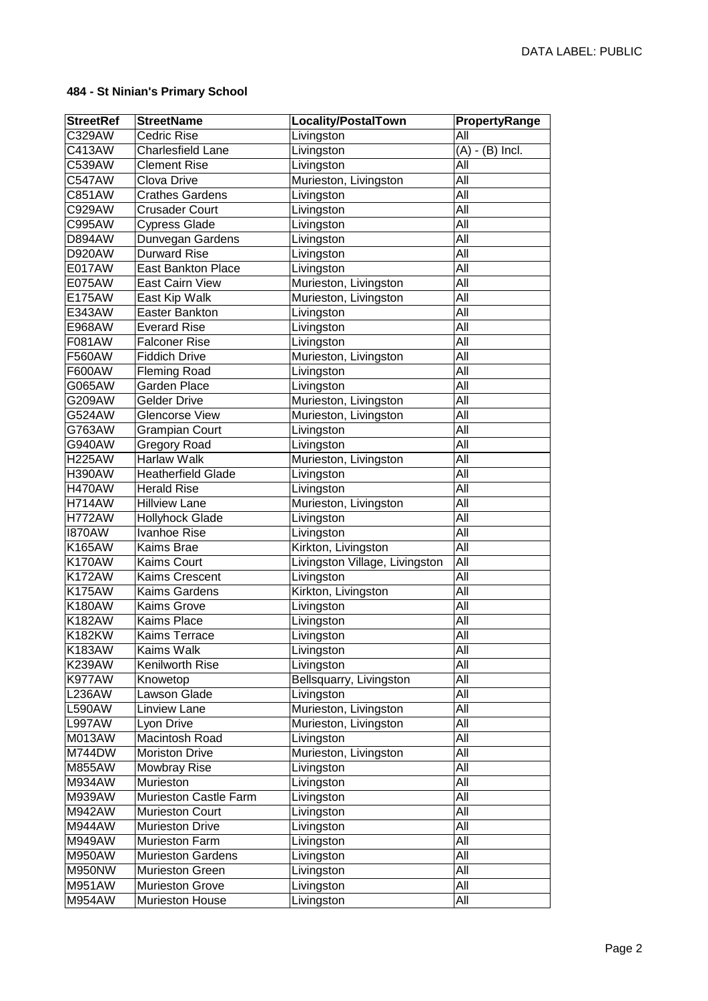| <b>StreetRef</b> | <b>StreetName</b>         | Locality/PostalTown            | PropertyRange                |
|------------------|---------------------------|--------------------------------|------------------------------|
| C329AW           | <b>Cedric Rise</b>        | Livingston                     | All                          |
| C413AW           | <b>Charlesfield Lane</b>  | Livingston                     | $\overline{(A)}$ - (B) Incl. |
| C539AW           | <b>Clement Rise</b>       | Livingston                     | All                          |
| <b>C547AW</b>    | Clova Drive               | Murieston, Livingston          | All                          |
| C851AW           | <b>Crathes Gardens</b>    | Livingston                     | All                          |
| C929AW           | <b>Crusader Court</b>     | Livingston                     | $\overline{All}$             |
| C995AW           | <b>Cypress Glade</b>      | Livingston                     | All                          |
| <b>D894AW</b>    | Dunvegan Gardens          | Livingston                     | $\overline{All}$             |
| <b>D920AW</b>    | <b>Durward Rise</b>       | Livingston                     | All                          |
| E017AW           | <b>East Bankton Place</b> | Livingston                     | All                          |
| E075AW           | East Cairn View           | Murieston, Livingston          | All                          |
| E175AW           | East Kip Walk             | Murieston, Livingston          | All                          |
| E343AW           | <b>Easter Bankton</b>     | Livingston                     | All                          |
| E968AW           | <b>Everard Rise</b>       | Livingston                     | All                          |
| F081AW           | <b>Falconer Rise</b>      | Livingston                     | All                          |
| F560AW           | <b>Fiddich Drive</b>      | Murieston, Livingston          | All                          |
| F600AW           | <b>Fleming Road</b>       | Livingston                     | All                          |
| G065AW           | Garden Place              | Livingston                     | All                          |
| G209AW           | <b>Gelder Drive</b>       | Murieston, Livingston          | All                          |
| G524AW           | Glencorse View            | Murieston, Livingston          | All                          |
| G763AW           | <b>Grampian Court</b>     | Livingston                     | All                          |
| G940AW           | <b>Gregory Road</b>       | Livingston                     | All                          |
| <b>H225AW</b>    | Harlaw Walk               | Murieston, Livingston          | All                          |
| <b>H390AW</b>    | <b>Heatherfield Glade</b> | Livingston                     | All                          |
| <b>H470AW</b>    | <b>Herald Rise</b>        | Livingston                     | All                          |
| <b>H714AW</b>    | <b>Hillview Lane</b>      | Murieston, Livingston          | All                          |
| <b>H772AW</b>    | <b>Hollyhock Glade</b>    | Livingston                     | All                          |
| <b>I870AW</b>    | Ivanhoe Rise              | Livingston                     | All                          |
| K165AW           | Kaims Brae                | Kirkton, Livingston            | All                          |
| <b>K170AW</b>    | Kaims Court               | Livingston Village, Livingston | All                          |
| <b>K172AW</b>    | <b>Kaims Crescent</b>     | Livingston                     | All                          |
| <b>K175AW</b>    | Kaims Gardens             | Kirkton, Livingston            | All                          |
| <b>K180AW</b>    | Kaims Grove               | Livingston                     | All                          |
| <b>K182AW</b>    | Kaims Place               | Livingston                     | All                          |
| <b>K182KW</b>    | Kaims Terrace             | Livingston                     | All                          |
| K183AW           | Kaims Walk                | Livingston                     | All                          |
| <b>K239AW</b>    | Kenilworth Rise           | Livingston                     | All                          |
| K977AW           | Knowetop                  | Bellsquarry, Livingston        | All                          |
| <b>L236AW</b>    | Lawson Glade              | Livingston                     | All                          |
| <b>L590AW</b>    | Linview Lane              | Murieston, Livingston          | All                          |
| <b>L997AW</b>    | Lyon Drive                | Murieston, Livingston          | All                          |
| <b>M013AW</b>    | Macintosh Road            | Livingston                     | All                          |
| M744DW           | <b>Moriston Drive</b>     | Murieston, Livingston          | All                          |
| M855AW           | Mowbray Rise              | Livingston                     | All                          |
| M934AW           | Murieston                 | Livingston                     | All                          |
| M939AW           | Murieston Castle Farm     | Livingston                     | All                          |
| M942AW           | Murieston Court           | Livingston                     | All                          |
| <b>M944AW</b>    | <b>Murieston Drive</b>    | Livingston                     | All                          |
| M949AW           | Murieston Farm            | Livingston                     | All                          |
| M950AW           | <b>Murieston Gardens</b>  | Livingston                     | All                          |
| M950NW           | <b>Murieston Green</b>    | Livingston                     | All                          |
| M951AW           | <b>Murieston Grove</b>    | Livingston                     | All                          |
| M954AW           | Murieston House           | Livingston                     | All                          |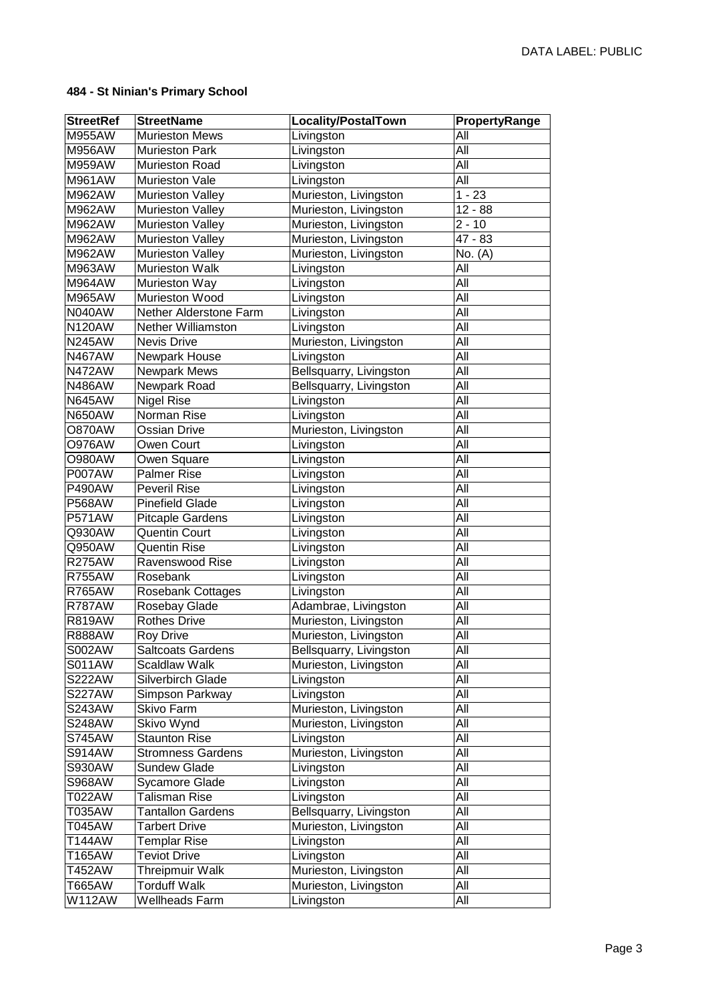| <b>StreetRef</b>        | <b>StreetName</b>                     | Locality/PostalTown     | PropertyRange |
|-------------------------|---------------------------------------|-------------------------|---------------|
| M955AW                  | <b>Murieston Mews</b>                 | Livingston              | All           |
| <b>M956AW</b>           | <b>Murieston Park</b>                 | Livingston              | All           |
| M959AW                  | Murieston Road                        | Livingston              | All           |
| M961AW                  | Murieston Vale                        | Livingston              | All           |
| M962AW                  | Murieston Valley                      | Murieston, Livingston   | $1 - 23$      |
| M962AW                  | <b>Murieston Valley</b>               | Murieston, Livingston   | $12 - 88$     |
| M962AW                  | Murieston Valley                      | Murieston, Livingston   | $2 - 10$      |
| M962AW                  | <b>Murieston Valley</b>               | Murieston, Livingston   | 47 - 83       |
| M962AW                  | <b>Murieston Valley</b>               | Murieston, Livingston   | No. (A)       |
| M963AW                  | <b>Murieston Walk</b>                 | Livingston              | All           |
| M964AW                  | Murieston Way                         | Livingston              | All           |
| M965AW                  | Murieston Wood                        | Livingston              | All           |
| <b>N040AW</b>           | Nether Alderstone Farm                | Livingston              | All           |
| <b>N120AW</b>           | <b>Nether Williamston</b>             | Livingston              | All           |
| <b>N245AW</b>           | Nevis Drive                           | Murieston, Livingston   | All           |
| <b>N467AW</b>           | Newpark House                         | Livingston              | All           |
| <b>N472AW</b>           | Newpark Mews                          | Bellsquarry, Livingston | All           |
| <b>N486AW</b>           | Newpark Road                          | Bellsquarry, Livingston | All           |
| <b>N645AW</b>           | <b>Nigel Rise</b>                     | Livingston              | All           |
| <b>N650AW</b>           | Norman Rise                           | Livingston              | All           |
| <b>O870AW</b>           | <b>Ossian Drive</b>                   | Murieston, Livingston   | All           |
| <b>O976AW</b>           | Owen Court                            | Livingston              | All           |
| <b>O980AW</b>           | Owen Square                           | Livingston              | All           |
| <b>P007AW</b>           | <b>Palmer Rise</b>                    | Livingston              | All           |
| <b>P490AW</b>           | <b>Peveril Rise</b>                   | Livingston              | All           |
| <b>P568AW</b>           | <b>Pinefield Glade</b>                | Livingston              | All           |
| <b>P571AW</b>           | <b>Pitcaple Gardens</b>               | Livingston              | All           |
| Q930AW                  | <b>Quentin Court</b>                  | Livingston              | All           |
| Q950AW                  | <b>Quentin Rise</b>                   | Livingston              | All           |
| <b>R275AW</b>           | Ravenswood Rise                       | Livingston              | All           |
| <b>R755AW</b>           | Rosebank                              | Livingston              | All           |
| <b>R765AW</b>           | <b>Rosebank Cottages</b>              | Livingston              | All           |
| <b>R787AW</b>           | Rosebay Glade                         | Adambrae, Livingston    | All           |
| <b>R819AW</b>           | <b>Rothes Drive</b>                   | Murieston, Livingston   | All           |
| <b>R888AW</b>           | <b>Roy Drive</b>                      | Murieston, Livingston   | All           |
| S002AW                  | <b>Saltcoats Gardens</b>              | Bellsquarry, Livingston | All           |
| <b>S011AW</b>           | <b>Scaldlaw Walk</b>                  | Murieston, Livingston   | All           |
| <b>S222AW</b>           | Silverbirch Glade                     | Livingston              | All           |
| <b>S227AW</b>           | Simpson Parkway                       | Livingston              | All           |
| <b>S243AW</b>           | Skivo Farm                            | Murieston, Livingston   | All           |
| <b>S248AW</b>           | Skivo Wynd                            | Murieston, Livingston   | All           |
| <b>S745AW</b>           | <b>Staunton Rise</b>                  | Livingston              | All           |
| <b>S914AW</b>           | <b>Stromness Gardens</b>              | Murieston, Livingston   | All           |
| <b>S930AW</b>           | Sundew Glade                          | Livingston              | All           |
| <b>S968AW</b>           | Sycamore Glade                        | Livingston              | All           |
| T022AW                  | Talisman Rise                         | Livingston              | All           |
| T035AW                  | <b>Tantallon Gardens</b>              | Bellsquarry, Livingston | All           |
| T045AW                  | <b>Tarbert Drive</b>                  | Murieston, Livingston   | All           |
| T144AW                  | <b>Templar Rise</b>                   | Livingston              | All           |
| T165AW                  | <b>Teviot Drive</b>                   | Livingston              | All           |
| T452AW                  | <b>Threipmuir Walk</b>                | Murieston, Livingston   | All           |
| T665AW<br><b>W112AW</b> | <b>Torduff Walk</b><br>Wellheads Farm | Murieston, Livingston   | All<br>All    |
|                         |                                       | Livingston              |               |